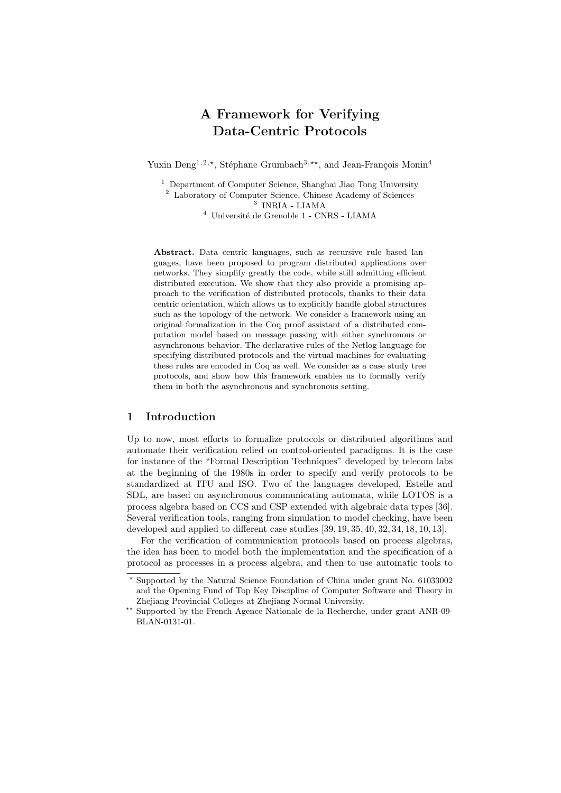# A Framework for Verifying Data-Centric Protocols

Yuxin  $\text{Deng}^{1,2,\star}$ , Stéphane Grumbach<sup>3,\*\*</sup>, and Jean-François Monin<sup>4</sup>

<sup>1</sup> Department of Computer Science, Shanghai Jiao Tong University <sup>2</sup> Laboratory of Computer Science, Chinese Academy of Sciences 3 INRIA - LIAMA

 $^4\,$ Université de Grenoble 1 - CNRS - LIAMA

Abstract. Data centric languages, such as recursive rule based languages, have been proposed to program distributed applications over networks. They simplify greatly the code, while still admitting efficient distributed execution. We show that they also provide a promising approach to the verification of distributed protocols, thanks to their data centric orientation, which allows us to explicitly handle global structures such as the topology of the network. We consider a framework using an original formalization in the Coq proof assistant of a distributed computation model based on message passing with either synchronous or asynchronous behavior. The declarative rules of the Netlog language for specifying distributed protocols and the virtual machines for evaluating these rules are encoded in Coq as well. We consider as a case study tree protocols, and show how this framework enables us to formally verify them in both the asynchronous and synchronous setting.

# 1 Introduction

Up to now, most efforts to formalize protocols or distributed algorithms and automate their verification relied on control-oriented paradigms. It is the case for instance of the "Formal Description Techniques" developed by telecom labs at the beginning of the 1980s in order to specify and verify protocols to be standardized at ITU and ISO. Two of the languages developed, Estelle and SDL, are based on asynchronous communicating automata, while LOTOS is a process algebra based on CCS and CSP extended with algebraic data types [36]. Several verification tools, ranging from simulation to model checking, have been developed and applied to different case studies [39, 19, 35, 40, 32, 34, 18, 10, 13].

For the verification of communication protocols based on process algebras, the idea has been to model both the implementation and the specification of a protocol as processes in a process algebra, and then to use automatic tools to

<sup>?</sup> Supported by the Natural Science Foundation of China under grant No. 61033002 and the Opening Fund of Top Key Discipline of Computer Software and Theory in Zhejiang Provincial Colleges at Zhejiang Normal University.

<sup>\*\*</sup> Supported by the French Agence Nationale de la Recherche, under grant ANR-09-BLAN-0131-01.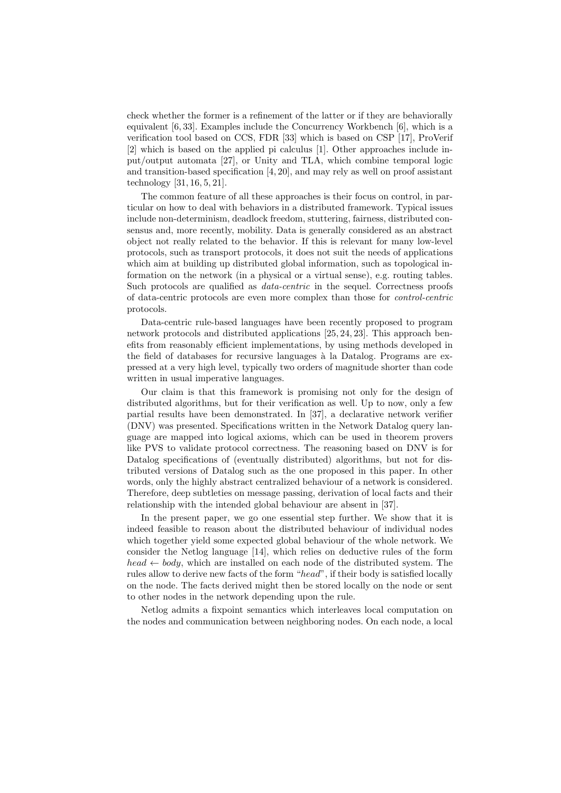check whether the former is a refinement of the latter or if they are behaviorally equivalent [6, 33]. Examples include the Concurrency Workbench [6], which is a verification tool based on CCS, FDR [33] which is based on CSP [17], ProVerif [2] which is based on the applied pi calculus [1]. Other approaches include input/output automata [27], or Unity and TLA, which combine temporal logic and transition-based specification [4, 20], and may rely as well on proof assistant technology [31, 16, 5, 21].

The common feature of all these approaches is their focus on control, in particular on how to deal with behaviors in a distributed framework. Typical issues include non-determinism, deadlock freedom, stuttering, fairness, distributed consensus and, more recently, mobility. Data is generally considered as an abstract object not really related to the behavior. If this is relevant for many low-level protocols, such as transport protocols, it does not suit the needs of applications which aim at building up distributed global information, such as topological information on the network (in a physical or a virtual sense), e.g. routing tables. Such protocols are qualified as *data-centric* in the sequel. Correctness proofs of data-centric protocols are even more complex than those for control-centric protocols.

Data-centric rule-based languages have been recently proposed to program network protocols and distributed applications [25, 24, 23]. This approach benefits from reasonably efficient implementations, by using methods developed in the field of databases for recursive languages à la Datalog. Programs are expressed at a very high level, typically two orders of magnitude shorter than code written in usual imperative languages.

Our claim is that this framework is promising not only for the design of distributed algorithms, but for their verification as well. Up to now, only a few partial results have been demonstrated. In [37], a declarative network verifier (DNV) was presented. Specifications written in the Network Datalog query language are mapped into logical axioms, which can be used in theorem provers like PVS to validate protocol correctness. The reasoning based on DNV is for Datalog specifications of (eventually distributed) algorithms, but not for distributed versions of Datalog such as the one proposed in this paper. In other words, only the highly abstract centralized behaviour of a network is considered. Therefore, deep subtleties on message passing, derivation of local facts and their relationship with the intended global behaviour are absent in [37].

In the present paper, we go one essential step further. We show that it is indeed feasible to reason about the distributed behaviour of individual nodes which together yield some expected global behaviour of the whole network. We consider the Netlog language [14], which relies on deductive rules of the form head  $\leftarrow$  body, which are installed on each node of the distributed system. The rules allow to derive new facts of the form "head", if their body is satisfied locally on the node. The facts derived might then be stored locally on the node or sent to other nodes in the network depending upon the rule.

Netlog admits a fixpoint semantics which interleaves local computation on the nodes and communication between neighboring nodes. On each node, a local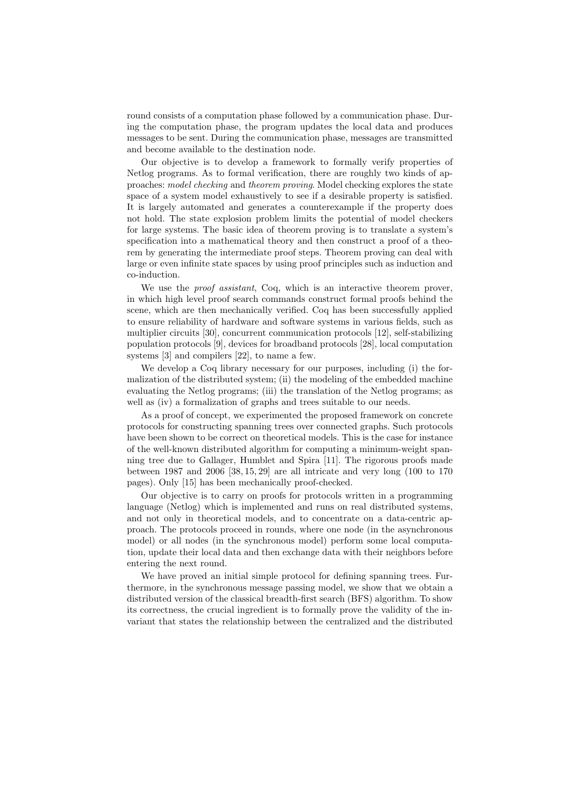round consists of a computation phase followed by a communication phase. During the computation phase, the program updates the local data and produces messages to be sent. During the communication phase, messages are transmitted and become available to the destination node.

Our objective is to develop a framework to formally verify properties of Netlog programs. As to formal verification, there are roughly two kinds of approaches: model checking and theorem proving. Model checking explores the state space of a system model exhaustively to see if a desirable property is satisfied. It is largely automated and generates a counterexample if the property does not hold. The state explosion problem limits the potential of model checkers for large systems. The basic idea of theorem proving is to translate a system's specification into a mathematical theory and then construct a proof of a theorem by generating the intermediate proof steps. Theorem proving can deal with large or even infinite state spaces by using proof principles such as induction and co-induction.

We use the *proof assistant*, Coq, which is an interactive theorem prover, in which high level proof search commands construct formal proofs behind the scene, which are then mechanically verified. Coq has been successfully applied to ensure reliability of hardware and software systems in various fields, such as multiplier circuits [30], concurrent communication protocols [12], self-stabilizing population protocols [9], devices for broadband protocols [28], local computation systems [3] and compilers [22], to name a few.

We develop a Coq library necessary for our purposes, including (i) the formalization of the distributed system; (ii) the modeling of the embedded machine evaluating the Netlog programs; (iii) the translation of the Netlog programs; as well as (iv) a formalization of graphs and trees suitable to our needs.

As a proof of concept, we experimented the proposed framework on concrete protocols for constructing spanning trees over connected graphs. Such protocols have been shown to be correct on theoretical models. This is the case for instance of the well-known distributed algorithm for computing a minimum-weight spanning tree due to Gallager, Humblet and Spira [11]. The rigorous proofs made between 1987 and 2006 [38, 15, 29] are all intricate and very long (100 to 170 pages). Only [15] has been mechanically proof-checked.

Our objective is to carry on proofs for protocols written in a programming language (Netlog) which is implemented and runs on real distributed systems, and not only in theoretical models, and to concentrate on a data-centric approach. The protocols proceed in rounds, where one node (in the asynchronous model) or all nodes (in the synchronous model) perform some local computation, update their local data and then exchange data with their neighbors before entering the next round.

We have proved an initial simple protocol for defining spanning trees. Furthermore, in the synchronous message passing model, we show that we obtain a distributed version of the classical breadth-first search (BFS) algorithm. To show its correctness, the crucial ingredient is to formally prove the validity of the invariant that states the relationship between the centralized and the distributed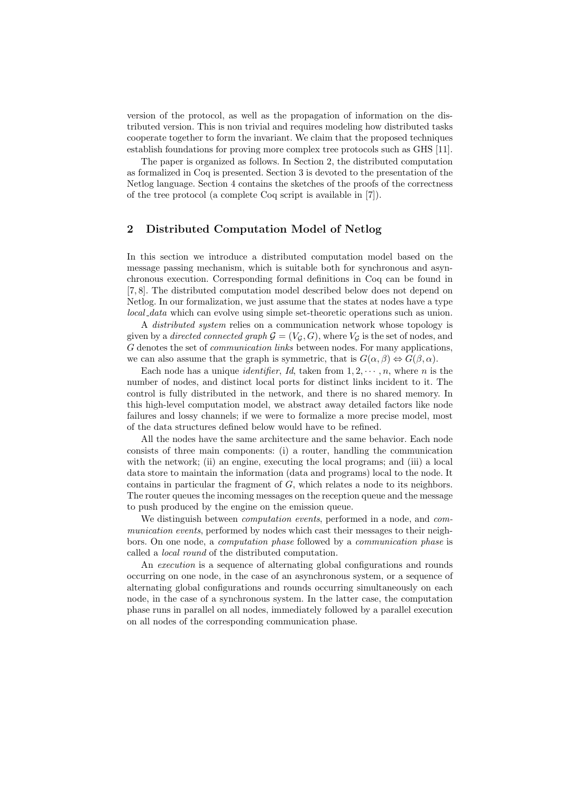version of the protocol, as well as the propagation of information on the distributed version. This is non trivial and requires modeling how distributed tasks cooperate together to form the invariant. We claim that the proposed techniques establish foundations for proving more complex tree protocols such as GHS [11].

The paper is organized as follows. In Section 2, the distributed computation as formalized in Coq is presented. Section 3 is devoted to the presentation of the Netlog language. Section 4 contains the sketches of the proofs of the correctness of the tree protocol (a complete Coq script is available in [7]).

# 2 Distributed Computation Model of Netlog

In this section we introduce a distributed computation model based on the message passing mechanism, which is suitable both for synchronous and asynchronous execution. Corresponding formal definitions in Coq can be found in [7, 8]. The distributed computation model described below does not depend on Netlog. In our formalization, we just assume that the states at nodes have a type local\_data which can evolve using simple set-theoretic operations such as union.

A distributed system relies on a communication network whose topology is given by a *directed connected graph*  $G = (V_{\mathcal{G}}, G)$ , where  $V_{\mathcal{G}}$  is the set of nodes, and G denotes the set of communication links between nodes. For many applications, we can also assume that the graph is symmetric, that is  $G(\alpha, \beta) \Leftrightarrow G(\beta, \alpha)$ .

Each node has a unique *identifier*, *Id*, taken from  $1, 2, \dots, n$ , where *n* is the number of nodes, and distinct local ports for distinct links incident to it. The control is fully distributed in the network, and there is no shared memory. In this high-level computation model, we abstract away detailed factors like node failures and lossy channels; if we were to formalize a more precise model, most of the data structures defined below would have to be refined.

All the nodes have the same architecture and the same behavior. Each node consists of three main components: (i) a router, handling the communication with the network; (ii) an engine, executing the local programs; and (iii) a local data store to maintain the information (data and programs) local to the node. It contains in particular the fragment of  $G$ , which relates a node to its neighbors. The router queues the incoming messages on the reception queue and the message to push produced by the engine on the emission queue.

We distinguish between *computation events*, performed in a node, and *com*munication events, performed by nodes which cast their messages to their neighbors. On one node, a computation phase followed by a communication phase is called a local round of the distributed computation.

An execution is a sequence of alternating global configurations and rounds occurring on one node, in the case of an asynchronous system, or a sequence of alternating global configurations and rounds occurring simultaneously on each node, in the case of a synchronous system. In the latter case, the computation phase runs in parallel on all nodes, immediately followed by a parallel execution on all nodes of the corresponding communication phase.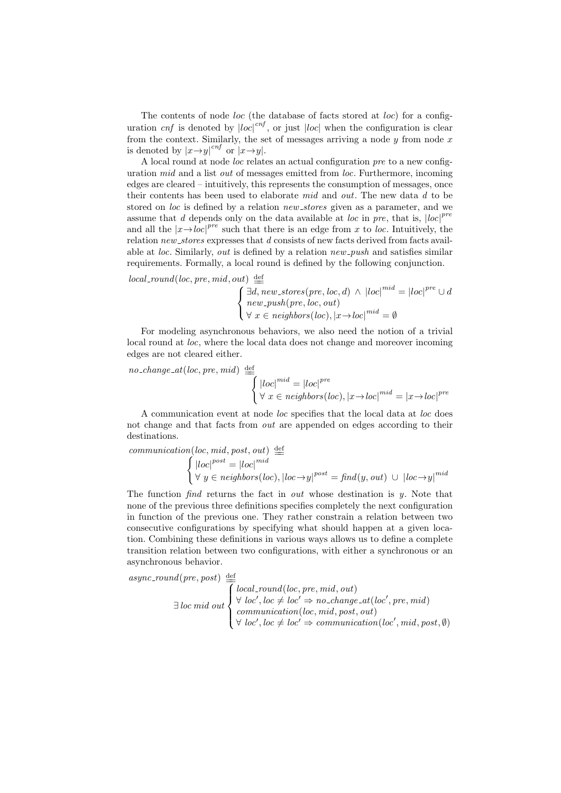The contents of node loc (the database of facts stored at loc) for a configuration cnf is denoted by  $|loc|^{cnf}$ , or just  $|loc|$  when the configuration is clear from the context. Similarly, the set of messages arriving a node  $y$  from node  $x$ is denoted by  $|x \rightarrow y|^{cnf}$  or  $|x \rightarrow y|$ .

A local round at node *loc* relates an actual configuration *pre* to a new configuration mid and a list out of messages emitted from loc. Furthermore, incoming edges are cleared – intuitively, this represents the consumption of messages, once their contents has been used to elaborate mid and out. The new data d to be stored on loc is defined by a relation new stores given as a parameter, and we assume that d depends only on the data available at loc in pre, that is,  $|loc|^{pre}$ and all the  $|x \rightarrow loc|^{pre}$  such that there is an edge from x to loc. Intuitively, the relation new stores expresses that d consists of new facts derived from facts available at loc. Similarly, out is defined by a relation  $new\_push$  and satisfies similar requirements. Formally, a local round is defined by the following conjunction.

 $local_{round}(loc, pre, mid, out) \triangleq$  $\overset{ut)}{=}$ <br> $\left(\begin{smallmatrix} \exists d, r \end{smallmatrix}\right)$ J  $\mathcal{L}$  $\exists d, new\_stores(pre, loc, d) \;\land\; |loc|^{mid} = |loc|^{pre} \cup d$ new push(pre, loc, out)  $\forall x \in neighbors(loc), |x \rightarrow loc|^{mid} = \emptyset$ 

For modeling asynchronous behaviors, we also need the notion of a trivial local round at *loc*, where the local data does not change and moreover incoming edges are not cleared either.

 $no\_change\_at(loc, pre, mid) \triangleq \int |loc|^{mid} = |loc|^{pre}$  $\forall x \in neighbors(loc), |x \rightarrow loc|^{mid} = |x \rightarrow loc|^{pre}$ 

A communication event at node loc specifies that the local data at loc does not change and that facts from *out* are appended on edges according to their destinations.

$$
\begin{aligned}\n\text{communication}(\text{loc}, \text{mid}, \text{post}, \text{out}) &\stackrel{\text{def}}{=} \\
&\left\{ |\text{loc}|^{post} = |\text{loc}|^{mid} \right\} \\
\forall \ y \in \text{neighbors}(\text{loc}), |\text{loc} \rightarrow y|^{post} = \text{find}(y, \text{out}) \ \cup \ |\text{loc} \rightarrow y|^{mid}\n\end{aligned}
$$

The function find returns the fact in *out* whose destination is  $y$ . Note that none of the previous three definitions specifies completely the next configuration in function of the previous one. They rather constrain a relation between two consecutive configurations by specifying what should happen at a given location. Combining these definitions in various ways allows us to define a complete transition relation between two configurations, with either a synchronous or an asynchronous behavior.

$$
async-round (pre, post) \underbrace{\frac{\text{def}}{\text{def}}}_{\exists loc \text{ } loc} [local-round (loc, pre, mid, out)
$$
\n
$$
\exists loc \text{ } mid \text{ } out \begin{cases} local-round (loc, pre, mid, out) \\ \forall \text{ } loc', loc \neq loc' \Rightarrow no{\_} change{\_}at (loc', pre, mid) \\ communication (loc, mid, post, out) \\ \forall \text{ } loc', loc \neq loc' \Rightarrow communication (loc', mid, post, \emptyset) \end{cases}
$$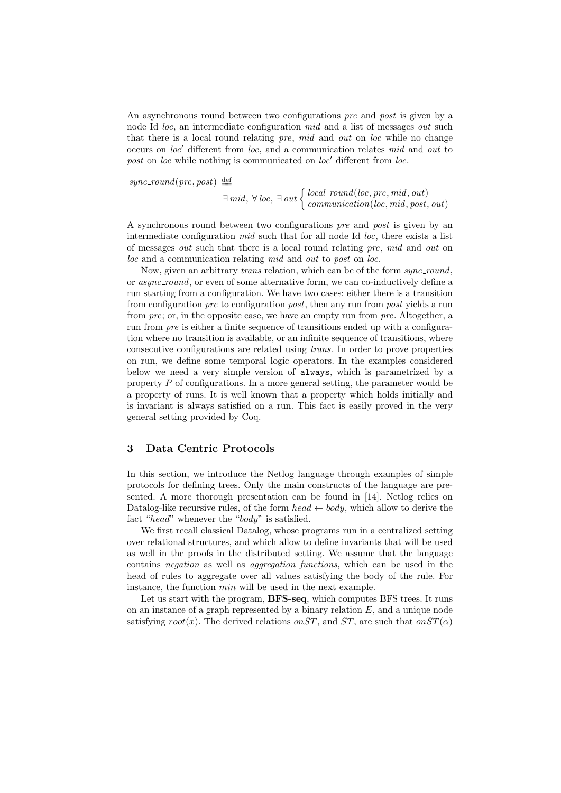An asynchronous round between two configurations *pre* and *post* is given by a node Id loc, an intermediate configuration mid and a list of messages out such that there is a local round relating pre, mid and out on loc while no change occurs on  $loc'$  different from  $loc$ , and a communication relates  $mid$  and out to post on loc while nothing is communicated on  $loc'$  different from  $loc.$ 

 $sync\_round(pre, post) \triangleq$ 

$$
\exists mid, \forall loc, \exists out \begin{cases} local\_round(loc, pre, mid, out) \\ communication(loc, mid, post, out) \end{cases}
$$

A synchronous round between two configurations pre and post is given by an intermediate configuration mid such that for all node Id loc, there exists a list of messages out such that there is a local round relating pre, mid and out on loc and a communication relating mid and out to post on loc.

Now, given an arbitrary trans relation, which can be of the form  $sync\_round$ , or async round, or even of some alternative form, we can co-inductively define a run starting from a configuration. We have two cases: either there is a transition from configuration *pre* to configuration *post*, then any run from *post* yields a run from *pre*; or, in the opposite case, we have an empty run from *pre*. Altogether, a run from *pre* is either a finite sequence of transitions ended up with a configuration where no transition is available, or an infinite sequence of transitions, where consecutive configurations are related using trans. In order to prove properties on run, we define some temporal logic operators. In the examples considered below we need a very simple version of always, which is parametrized by a property P of configurations. In a more general setting, the parameter would be a property of runs. It is well known that a property which holds initially and is invariant is always satisfied on a run. This fact is easily proved in the very general setting provided by Coq.

## 3 Data Centric Protocols

In this section, we introduce the Netlog language through examples of simple protocols for defining trees. Only the main constructs of the language are presented. A more thorough presentation can be found in [14]. Netlog relies on Datalog-like recursive rules, of the form  $head \leftarrow body$ , which allow to derive the fact "head" whenever the "body" is satisfied.

We first recall classical Datalog, whose programs run in a centralized setting over relational structures, and which allow to define invariants that will be used as well in the proofs in the distributed setting. We assume that the language contains negation as well as aggregation functions, which can be used in the head of rules to aggregate over all values satisfying the body of the rule. For instance, the function min will be used in the next example.

Let us start with the program, **BFS-seq**, which computes BFS trees. It runs on an instance of a graph represented by a binary relation  $E$ , and a unique node satisfying  $root(x)$ . The derived relations on ST, and ST, are such that on  $ST(\alpha)$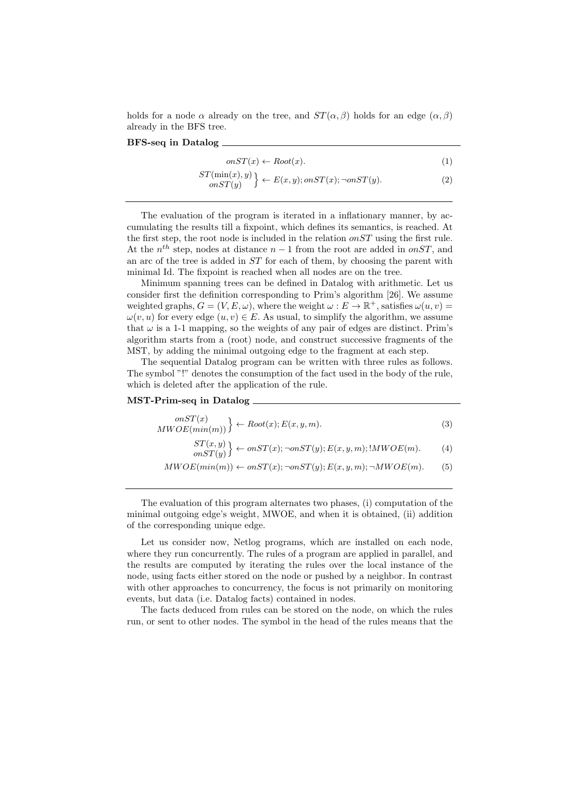holds for a node  $\alpha$  already on the tree, and  $ST(\alpha, \beta)$  holds for an edge  $(\alpha, \beta)$ already in the BFS tree.

## BFS-seq in Datalog

$$
on ST(x) \leftarrow Root(x). \tag{1}
$$

$$
\left\{\n\begin{aligned}\nST(\min(x), y) &= E(x, y); \, \text{on} ST(x); \, \neg \text{on} ST(y).\n\end{aligned}\n\right.\n\tag{2}
$$

The evaluation of the program is iterated in a inflationary manner, by accumulating the results till a fixpoint, which defines its semantics, is reached. At the first step, the root node is included in the relation  $\omega T$  using the first rule. At the  $n^{th}$  step, nodes at distance  $n-1$  from the root are added in onST, and an arc of the tree is added in ST for each of them, by choosing the parent with minimal Id. The fixpoint is reached when all nodes are on the tree.

Minimum spanning trees can be defined in Datalog with arithmetic. Let us consider first the definition corresponding to Prim's algorithm [26]. We assume weighted graphs,  $G = (V, E, \omega)$ , where the weight  $\omega : E \to \mathbb{R}^+$ , satisfies  $\omega(u, v) =$  $\omega(v, u)$  for every edge  $(u, v) \in E$ . As usual, to simplify the algorithm, we assume that  $\omega$  is a 1-1 mapping, so the weights of any pair of edges are distinct. Prim's algorithm starts from a (root) node, and construct successive fragments of the MST, by adding the minimal outgoing edge to the fragment at each step.

The sequential Datalog program can be written with three rules as follows. The symbol "!" denotes the consumption of the fact used in the body of the rule, which is deleted after the application of the rule.

#### MST-Prim-seq in Datalog

$$
\begin{aligned}\n&\cos T(x) \\
MWOE(min(m))\n\end{aligned}\n\big\} \leftarrow Root(x); E(x, y, m). \tag{3}
$$

$$
\begin{aligned} ST(x,y) \\ on ST(y) \end{aligned} \big\} \leftarrow onST(x); \neg onST(y); E(x,y,m); !MWOE(m). \tag{4}
$$

$$
MWOE(min(m)) \leftarrow onST(x); \neg onST(y); E(x, y, m); \neg MWOE(m). \tag{5}
$$

The evaluation of this program alternates two phases, (i) computation of the minimal outgoing edge's weight, MWOE, and when it is obtained, (ii) addition of the corresponding unique edge.

Let us consider now, Netlog programs, which are installed on each node, where they run concurrently. The rules of a program are applied in parallel, and the results are computed by iterating the rules over the local instance of the node, using facts either stored on the node or pushed by a neighbor. In contrast with other approaches to concurrency, the focus is not primarily on monitoring events, but data (i.e. Datalog facts) contained in nodes.

The facts deduced from rules can be stored on the node, on which the rules run, or sent to other nodes. The symbol in the head of the rules means that the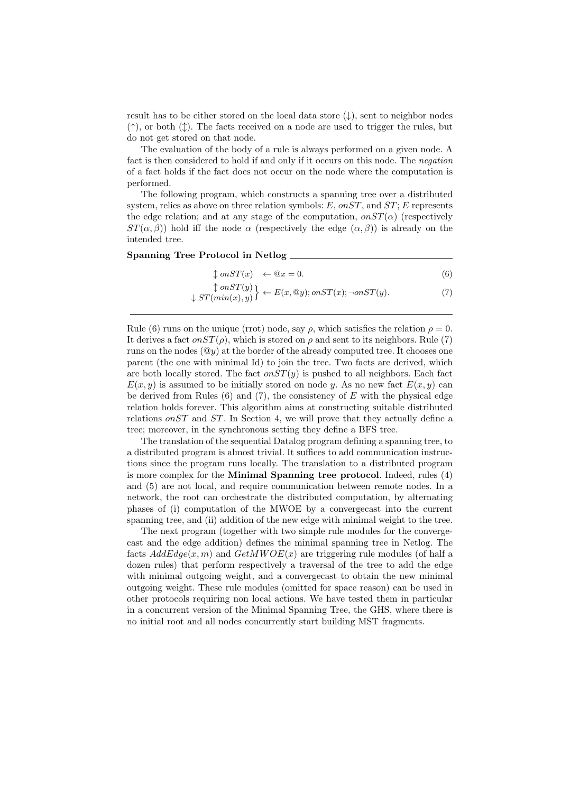result has to be either stored on the local data store  $(\downarrow)$ , sent to neighbor nodes  $(\uparrow)$ , or both  $(\uparrow)$ . The facts received on a node are used to trigger the rules, but do not get stored on that node.

The evaluation of the body of a rule is always performed on a given node. A fact is then considered to hold if and only if it occurs on this node. The *negation* of a fact holds if the fact does not occur on the node where the computation is performed.

The following program, which constructs a spanning tree over a distributed system, relies as above on three relation symbols:  $E$ , on  $ST$ , and  $ST$ ; E represents the edge relation; and at any stage of the computation,  $\partial nST(\alpha)$  (respectively  $ST(\alpha, \beta)$ ) hold iff the node  $\alpha$  (respectively the edge  $(\alpha, \beta)$ ) is already on the intended tree.

### Spanning Tree Protocol in Netlog

 $\downarrow$  on  $ST(x) \leftarrow \mathbb{Q}x = 0.$  (6)

$$
\begin{aligned} \downarrow onST(y) \\ \downarrow ST(min(x), y) \end{aligned} \big\} \leftarrow E(x, @y); onST(x); \neg onST(y). \tag{7}
$$

Rule (6) runs on the unique (rrot) node, say  $\rho$ , which satisfies the relation  $\rho = 0$ . It derives a fact  $\partial \Omega(\rho)$ , which is stored on  $\rho$  and sent to its neighbors. Rule (7) runs on the nodes  $(\mathbb{Q}y)$  at the border of the already computed tree. It chooses one parent (the one with minimal Id) to join the tree. Two facts are derived, which are both locally stored. The fact  $\partial nST(y)$  is pushed to all neighbors. Each fact  $E(x, y)$  is assumed to be initially stored on node y. As no new fact  $E(x, y)$  can be derived from Rules  $(6)$  and  $(7)$ , the consistency of E with the physical edge relation holds forever. This algorithm aims at constructing suitable distributed relations on  $ST$  and  $ST$ . In Section 4, we will prove that they actually define a tree; moreover, in the synchronous setting they define a BFS tree.

The translation of the sequential Datalog program defining a spanning tree, to a distributed program is almost trivial. It suffices to add communication instructions since the program runs locally. The translation to a distributed program is more complex for the Minimal Spanning tree protocol. Indeed, rules (4) and (5) are not local, and require communication between remote nodes. In a network, the root can orchestrate the distributed computation, by alternating phases of (i) computation of the MWOE by a convergecast into the current spanning tree, and (ii) addition of the new edge with minimal weight to the tree.

The next program (together with two simple rule modules for the convergecast and the edge addition) defines the minimal spanning tree in Netlog. The facts  $AddEdge(x, m)$  and  $GetMWOE(x)$  are triggering rule modules (of half a dozen rules) that perform respectively a traversal of the tree to add the edge with minimal outgoing weight, and a convergecast to obtain the new minimal outgoing weight. These rule modules (omitted for space reason) can be used in other protocols requiring non local actions. We have tested them in particular in a concurrent version of the Minimal Spanning Tree, the GHS, where there is no initial root and all nodes concurrently start building MST fragments.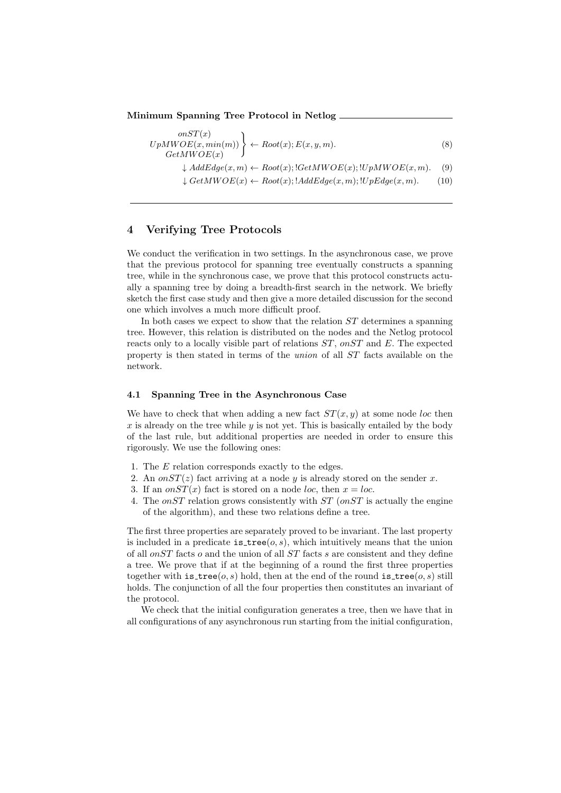Minimum Spanning Tree Protocol in Netlog

| $\left\{\rho M WOE(x, min(m))\atop\hbox{Get}M WOE(x)\right\} \leftarrow Root(x); E(x, y, m).$ | (8)  |
|-----------------------------------------------------------------------------------------------|------|
| $\downarrow AddEdge(x, m) \leftarrow Root(x); !GetMWOE(x); !UpMWOE(x, m).$ (9)                |      |
| $\downarrow$ $GetMWOE(x) \leftarrow Root(x);$ ! $AddEdge(x, m);$ ! $UpEdge(x, m)$ .           | (10) |

## 4 Verifying Tree Protocols

We conduct the verification in two settings. In the asynchronous case, we prove that the previous protocol for spanning tree eventually constructs a spanning tree, while in the synchronous case, we prove that this protocol constructs actually a spanning tree by doing a breadth-first search in the network. We briefly sketch the first case study and then give a more detailed discussion for the second one which involves a much more difficult proof.

In both cases we expect to show that the relation ST determines a spanning tree. However, this relation is distributed on the nodes and the Netlog protocol reacts only to a locally visible part of relations  $ST$ , on  $ST$  and E. The expected property is then stated in terms of the union of all ST facts available on the network.

#### 4.1 Spanning Tree in the Asynchronous Case

We have to check that when adding a new fact  $ST(x, y)$  at some node loc then x is already on the tree while  $y$  is not yet. This is basically entailed by the body of the last rule, but additional properties are needed in order to ensure this rigorously. We use the following ones:

- 1. The E relation corresponds exactly to the edges.
- 2. An  $\partial \text{S} T(z)$  fact arriving at a node y is already stored on the sender x.
- 3. If an  $onST(x)$  fact is stored on a node loc, then  $x = loc$ .
- 4. The onST relation grows consistently with  $ST$  (onST is actually the engine of the algorithm), and these two relations define a tree.

The first three properties are separately proved to be invariant. The last property is included in a predicate is  $tree(o, s)$ , which intuitively means that the union of all  $onST$  facts  $o$  and the union of all  $ST$  facts  $s$  are consistent and they define a tree. We prove that if at the beginning of a round the first three properties together with  $is\_tree(o, s)$  hold, then at the end of the round  $is\_tree(o, s)$  still holds. The conjunction of all the four properties then constitutes an invariant of the protocol.

We check that the initial configuration generates a tree, then we have that in all configurations of any asynchronous run starting from the initial configuration,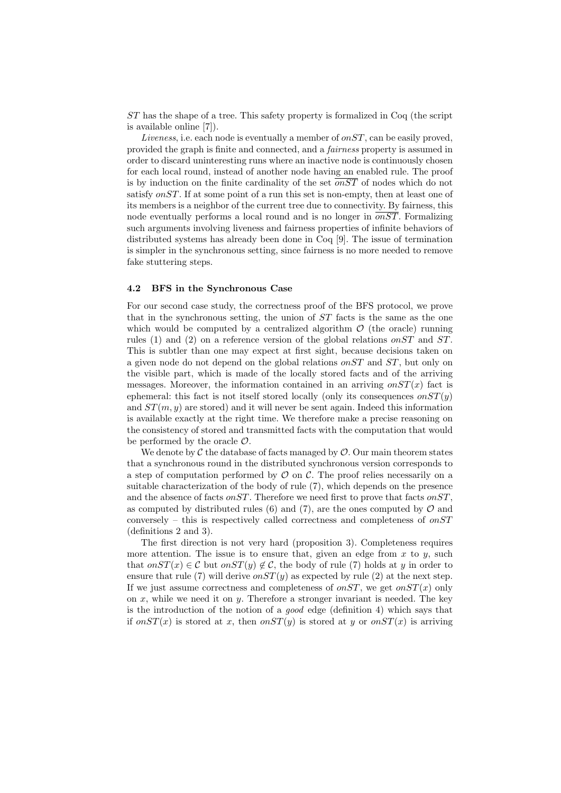ST has the shape of a tree. This safety property is formalized in Coq (the script is available online [7]).

Liveness, i.e. each node is eventually a member of  $on ST$ , can be easily proved, provided the graph is finite and connected, and a fairness property is assumed in order to discard uninteresting runs where an inactive node is continuously chosen for each local round, instead of another node having an enabled rule. The proof is by induction on the finite cardinality of the set  $\overline{onST}$  of nodes which do not satisfy  $\omega nST$ . If at some point of a run this set is non-empty, then at least one of its members is a neighbor of the current tree due to connectivity. By fairness, this node eventually performs a local round and is no longer in  $\overline{onST}$ . Formalizing such arguments involving liveness and fairness properties of infinite behaviors of distributed systems has already been done in Coq [9]. The issue of termination is simpler in the synchronous setting, since fairness is no more needed to remove fake stuttering steps.

#### 4.2 BFS in the Synchronous Case

For our second case study, the correctness proof of the BFS protocol, we prove that in the synchronous setting, the union of  $ST$  facts is the same as the one which would be computed by a centralized algorithm  $\mathcal O$  (the oracle) running rules (1) and (2) on a reference version of the global relations on  $ST$  and  $ST$ . This is subtler than one may expect at first sight, because decisions taken on a given node do not depend on the global relations  $\mathfrak{on} ST$  and  $ST$ , but only on the visible part, which is made of the locally stored facts and of the arriving messages. Moreover, the information contained in an arriving  $\text{on}ST(x)$  fact is ephemeral: this fact is not itself stored locally (only its consequences  $\omega nST(y)$ ) and  $ST(m, y)$  are stored) and it will never be sent again. Indeed this information is available exactly at the right time. We therefore make a precise reasoning on the consistency of stored and transmitted facts with the computation that would be performed by the oracle  $\mathcal{O}$ .

We denote by  $\mathcal C$  the database of facts managed by  $\mathcal O$ . Our main theorem states that a synchronous round in the distributed synchronous version corresponds to a step of computation performed by  $\mathcal O$  on  $\mathcal C$ . The proof relies necessarily on a suitable characterization of the body of rule (7), which depends on the presence and the absence of facts on ST. Therefore we need first to prove that facts on  $ST$ , as computed by distributed rules (6) and (7), are the ones computed by  $\mathcal O$  and conversely – this is respectively called correctness and completeness of  $onST$ (definitions 2 and 3).

The first direction is not very hard (proposition 3). Completeness requires more attention. The issue is to ensure that, given an edge from  $x$  to  $y$ , such that  $\text{on}ST(x) \in \mathcal{C}$  but  $\text{on}ST(y) \notin \mathcal{C}$ , the body of rule (7) holds at y in order to ensure that rule (7) will derive  $\partial \Sigma T(y)$  as expected by rule (2) at the next step. If we just assume correctness and completeness of on  $ST$ , we get on  $ST(x)$  only on x, while we need it on  $y$ . Therefore a stronger invariant is needed. The key is the introduction of the notion of a *good* edge (definition 4) which says that if on  $ST(x)$  is stored at x, then on  $ST(y)$  is stored at y or on  $ST(x)$  is arriving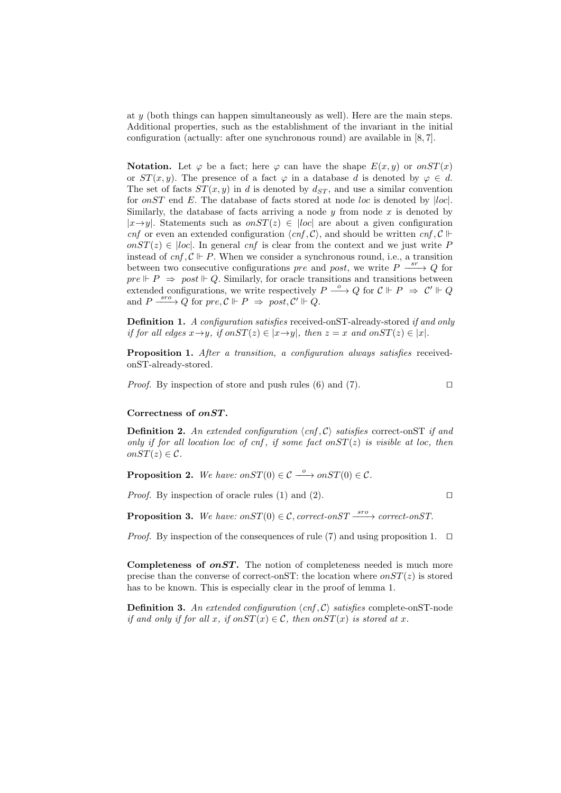at y (both things can happen simultaneously as well). Here are the main steps. Additional properties, such as the establishment of the invariant in the initial configuration (actually: after one synchronous round) are available in [8, 7].

**Notation.** Let  $\varphi$  be a fact; here  $\varphi$  can have the shape  $E(x, y)$  or  $\partial \mathcal{P}(x)$ or  $ST(x, y)$ . The presence of a fact  $\varphi$  in a database d is denoted by  $\varphi \in d$ . The set of facts  $ST(x, y)$  in d is denoted by  $d_{ST}$ , and use a similar convention for onST end E. The database of facts stored at node loc is denoted by  $|loc|$ . Similarly, the database of facts arriving a node  $y$  from node  $x$  is denoted by  $|x \rightarrow y|$ . Statements such as  $\text{onST}(z) \in |loc|$  are about a given configuration cnf or even an extended configuration  $\langle cnf , C \rangle$ , and should be written cnf, C  $\Vdash$  $onST(z) \in |loc|$ . In general cnf is clear from the context and we just write P instead of  $cnf$ ,  $C \Vdash P$ . When we consider a synchronous round, i.e., a transition between two consecutive configurations  $pre$  and post, we write  $P \xrightarrow{sr} Q$  for  $pre \Vdash P \Rightarrow post \Vdash Q$ . Similarly, for oracle transitions and transitions between extended configurations, we write respectively  $P \stackrel{o}{\longrightarrow} Q$  for  $C \Vdash P \Rightarrow C' \Vdash Q$ and  $P \xrightarrow{sro} Q$  for  $pre, C \Vdash P \Rightarrow post, C' \Vdash Q$ .

Definition 1. A configuration satisfies received-onST-already-stored if and only if for all edges  $x \rightarrow y$ , if on  $ST(z) \in |x \rightarrow y|$ , then  $z = x$  and on  $ST(z) \in |x|$ .

Proposition 1. After a transition, a configuration always satisfies receivedonST-already-stored.

*Proof.* By inspection of store and push rules (6) and (7).  $\Box$ 

## Correctness of onST .

**Definition 2.** An extended configuration  $\langle cnf, C \rangle$  satisfies correct-onST if and only if for all location loc of cnf, if some fact on  $ST(z)$  is visible at loc, then  $onST(z) \in \mathcal{C}.$ 

**Proposition 2.** We have: on  $ST(0) \in \mathcal{C} \xrightarrow{o}$  on  $ST(0) \in \mathcal{C}$ .

*Proof.* By inspection of oracle rules (1) and (2).  $\Box$ 

**Proposition 3.** We have: on  $ST(0) \in \mathcal{C}$ , correct-on  $ST \xrightarrow{sro}$  correct-on  $ST$ .

*Proof.* By inspection of the consequences of rule (7) and using proposition 1.  $\Box$ 

Completeness of onST. The notion of completeness needed is much more precise than the converse of correct-onST: the location where  $\text{onST}(z)$  is stored has to be known. This is especially clear in the proof of lemma 1.

**Definition 3.** An extended configuration  $\langle cnf, C \rangle$  satisfies complete-onST-node if and only if for all x, if on  $ST(x) \in \mathcal{C}$ , then on  $ST(x)$  is stored at x.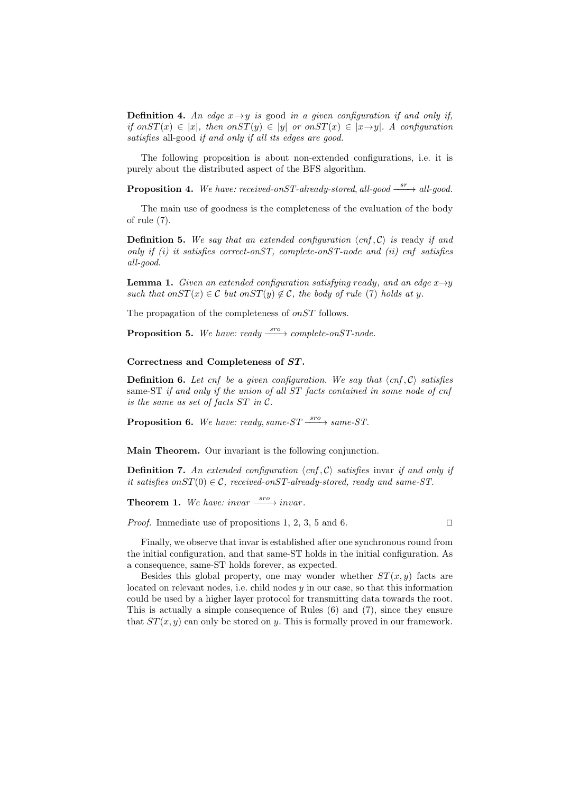**Definition 4.** An edge  $x \rightarrow y$  is good in a given configuration if and only if, if  $\text{on}ST(x) \in |x|$ , then  $\text{on}ST(y) \in |y|$  or  $\text{on}ST(x) \in |x \rightarrow y|$ . A configuration satisfies all-good if and only if all its edges are good.

The following proposition is about non-extended configurations, i.e. it is purely about the distributed aspect of the BFS algorithm.

**Proposition 4.** We have: received-onST-already-stored, all-good  $\stackrel{sr}{\longrightarrow}$  all-good.

The main use of goodness is the completeness of the evaluation of the body of rule (7).

**Definition 5.** We say that an extended configuration  $\langle cnf, C \rangle$  is ready if and only if (i) it satisfies correct-on  $ST$ , complete-on  $ST$ -node and (ii) cnf satisfies all-good.

**Lemma 1.** Given an extended configuration satisfying ready, and an edge  $x \rightarrow y$ such that on  $ST(x) \in \mathcal{C}$  but on  $ST(y) \notin \mathcal{C}$ , the body of rule (7) holds at y.

The propagation of the completeness of *onST* follows.

**Proposition 5.** We have: ready  $\xrightarrow{sro} complete-onST-node$ .

## Correctness and Completeness of ST .

**Definition 6.** Let cnf be a given configuration. We say that  $\langle cnf , C \rangle$  satisfies same-ST if and only if the union of all ST facts contained in some node of cnf is the same as set of facts ST in C.

**Proposition 6.** We have: ready, same- $ST \xrightarrow{sro} same-T$ .

Main Theorem. Our invariant is the following conjunction.

**Definition 7.** An extended configuration  $\langle cnf, C \rangle$  satisfies invar if and only if it satisfies on  $ST(0) \in \mathcal{C}$ , received-on  $ST$ -already-stored, ready and same-ST.

**Theorem 1.** We have: invar  $\xrightarrow{sro}$  invar.

*Proof.* Immediate use of propositions 1, 2, 3, 5 and 6.

Finally, we observe that invar is established after one synchronous round from the initial configuration, and that same-ST holds in the initial configuration. As a consequence, same-ST holds forever, as expected.

Besides this global property, one may wonder whether  $ST(x, y)$  facts are located on relevant nodes, i.e. child nodes  $y$  in our case, so that this information could be used by a higher layer protocol for transmitting data towards the root. This is actually a simple consequence of Rules (6) and (7), since they ensure that  $ST(x, y)$  can only be stored on y. This is formally proved in our framework.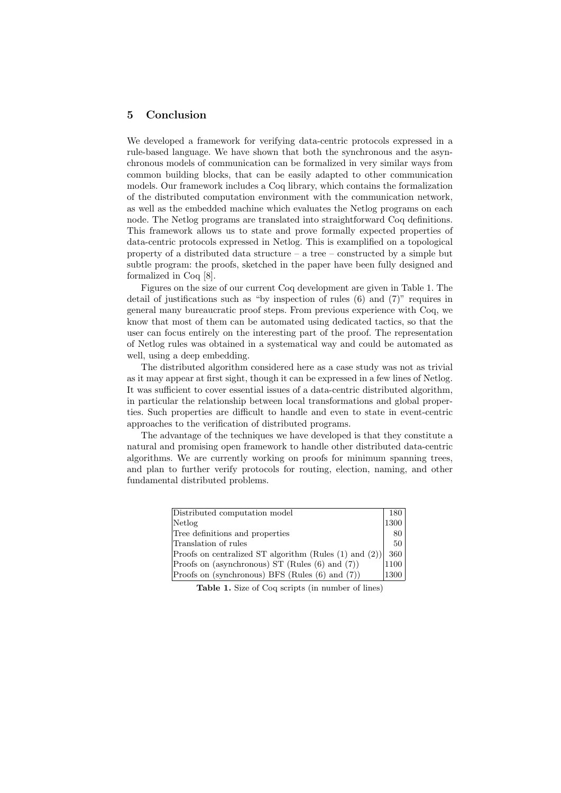## 5 Conclusion

We developed a framework for verifying data-centric protocols expressed in a rule-based language. We have shown that both the synchronous and the asynchronous models of communication can be formalized in very similar ways from common building blocks, that can be easily adapted to other communication models. Our framework includes a Coq library, which contains the formalization of the distributed computation environment with the communication network, as well as the embedded machine which evaluates the Netlog programs on each node. The Netlog programs are translated into straightforward Coq definitions. This framework allows us to state and prove formally expected properties of data-centric protocols expressed in Netlog. This is examplified on a topological property of a distributed data structure – a tree – constructed by a simple but subtle program: the proofs, sketched in the paper have been fully designed and formalized in Coq [8].

Figures on the size of our current Coq development are given in Table 1. The detail of justifications such as "by inspection of rules (6) and (7)" requires in general many bureaucratic proof steps. From previous experience with Coq, we know that most of them can be automated using dedicated tactics, so that the user can focus entirely on the interesting part of the proof. The representation of Netlog rules was obtained in a systematical way and could be automated as well, using a deep embedding.

The distributed algorithm considered here as a case study was not as trivial as it may appear at first sight, though it can be expressed in a few lines of Netlog. It was sufficient to cover essential issues of a data-centric distributed algorithm, in particular the relationship between local transformations and global properties. Such properties are difficult to handle and even to state in event-centric approaches to the verification of distributed programs.

The advantage of the techniques we have developed is that they constitute a natural and promising open framework to handle other distributed data-centric algorithms. We are currently working on proofs for minimum spanning trees, and plan to further verify protocols for routing, election, naming, and other fundamental distributed problems.

| Distributed computation model<br>180<br>1300<br>Netlog<br>Tree definitions and properties<br>Translation of rules<br>360<br>Proofs on centralized ST algorithm (Rules $(1)$ and $(2)$ )<br>Proofs on (asynchronous) ST (Rules $(6)$ and $(7)$ )<br>1100<br>Proofs on (synchronous) BFS (Rules (6) and (7))<br>1300 |  |     |
|--------------------------------------------------------------------------------------------------------------------------------------------------------------------------------------------------------------------------------------------------------------------------------------------------------------------|--|-----|
|                                                                                                                                                                                                                                                                                                                    |  |     |
|                                                                                                                                                                                                                                                                                                                    |  |     |
|                                                                                                                                                                                                                                                                                                                    |  | -80 |
|                                                                                                                                                                                                                                                                                                                    |  | 50  |
|                                                                                                                                                                                                                                                                                                                    |  |     |
|                                                                                                                                                                                                                                                                                                                    |  |     |
|                                                                                                                                                                                                                                                                                                                    |  |     |

Table 1. Size of Coq scripts (in number of lines)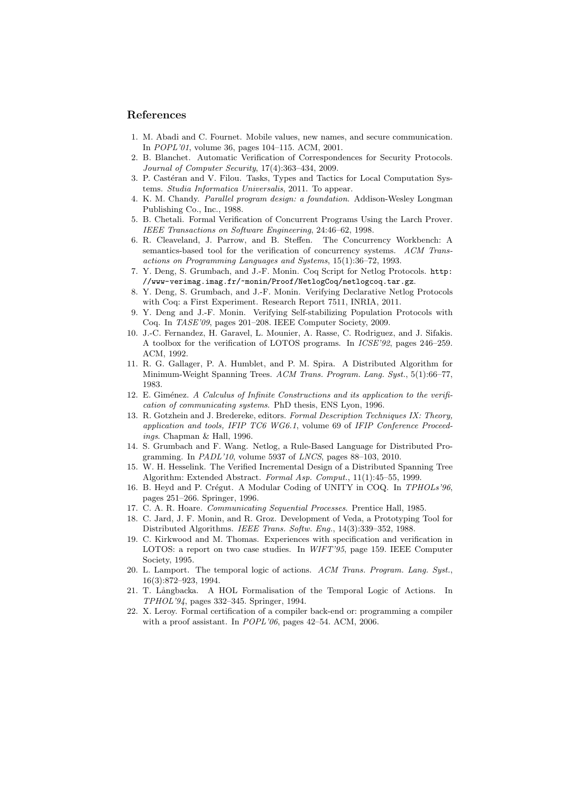## References

- 1. M. Abadi and C. Fournet. Mobile values, new names, and secure communication. In POPL'01, volume 36, pages 104–115. ACM, 2001.
- 2. B. Blanchet. Automatic Verification of Correspondences for Security Protocols. Journal of Computer Security, 17(4):363–434, 2009.
- 3. P. Castéran and V. Filou. Tasks, Types and Tactics for Local Computation Systems. Studia Informatica Universalis, 2011. To appear.
- 4. K. M. Chandy. Parallel program design: a foundation. Addison-Wesley Longman Publishing Co., Inc., 1988.
- 5. B. Chetali. Formal Verification of Concurrent Programs Using the Larch Prover. IEEE Transactions on Software Engineering, 24:46–62, 1998.
- 6. R. Cleaveland, J. Parrow, and B. Steffen. The Concurrency Workbench: A semantics-based tool for the verification of concurrency systems. ACM Transactions on Programming Languages and Systems, 15(1):36–72, 1993.
- 7. Y. Deng, S. Grumbach, and J.-F. Monin. Coq Script for Netlog Protocols. http: //www-verimag.imag.fr/~monin/Proof/NetlogCoq/netlogcoq.tar.gz.
- 8. Y. Deng, S. Grumbach, and J.-F. Monin. Verifying Declarative Netlog Protocols with Coq: a First Experiment. Research Report 7511, INRIA, 2011.
- 9. Y. Deng and J.-F. Monin. Verifying Self-stabilizing Population Protocols with Coq. In TASE'09, pages 201–208. IEEE Computer Society, 2009.
- 10. J.-C. Fernandez, H. Garavel, L. Mounier, A. Rasse, C. Rodriguez, and J. Sifakis. A toolbox for the verification of LOTOS programs. In ICSE'92, pages 246–259. ACM, 1992.
- 11. R. G. Gallager, P. A. Humblet, and P. M. Spira. A Distributed Algorithm for Minimum-Weight Spanning Trees. ACM Trans. Program. Lang. Syst., 5(1):66–77, 1983.
- 12. E. Giménez. A Calculus of Infinite Constructions and its application to the verification of communicating systems. PhD thesis, ENS Lyon, 1996.
- 13. R. Gotzhein and J. Bredereke, editors. Formal Description Techniques IX: Theory, application and tools, IFIP TC6 WG6.1, volume 69 of IFIP Conference Proceedings. Chapman & Hall, 1996.
- 14. S. Grumbach and F. Wang. Netlog, a Rule-Based Language for Distributed Programming. In PADL'10, volume 5937 of LNCS, pages 88–103, 2010.
- 15. W. H. Hesselink. The Verified Incremental Design of a Distributed Spanning Tree Algorithm: Extended Abstract. Formal Asp. Comput., 11(1):45–55, 1999.
- 16. B. Heyd and P. Crégut. A Modular Coding of UNITY in COQ. In TPHOLs'96, pages 251–266. Springer, 1996.
- 17. C. A. R. Hoare. Communicating Sequential Processes. Prentice Hall, 1985.
- 18. C. Jard, J. F. Monin, and R. Groz. Development of Veda, a Prototyping Tool for Distributed Algorithms. IEEE Trans. Softw. Eng., 14(3):339–352, 1988.
- 19. C. Kirkwood and M. Thomas. Experiences with specification and verification in LOTOS: a report on two case studies. In WIFT'95, page 159. IEEE Computer Society, 1995.
- 20. L. Lamport. The temporal logic of actions. ACM Trans. Program. Lang. Syst., 16(3):872–923, 1994.
- 21. T. Långbacka. A HOL Formalisation of the Temporal Logic of Actions. In TPHOL'94, pages 332–345. Springer, 1994.
- 22. X. Leroy. Formal certification of a compiler back-end or: programming a compiler with a proof assistant. In *POPL'06*, pages 42–54. ACM, 2006.